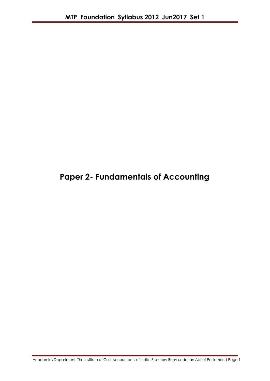# **Paper 2- Fundamentals of Accounting**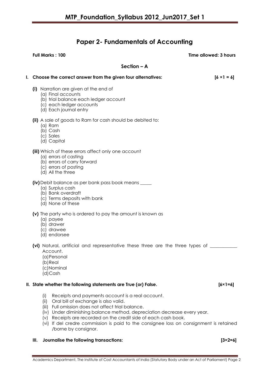# **Paper 2- Fundamentals of Accounting**

| Full Marks: 100                                                                                                                                                                                                                           | Time allowed: 3 hours |
|-------------------------------------------------------------------------------------------------------------------------------------------------------------------------------------------------------------------------------------------|-----------------------|
| $Section - A$                                                                                                                                                                                                                             |                       |
| I. Choose the correct answer from the given four alternatives:                                                                                                                                                                            | $[6 \times 1 = 6]$    |
| (i) Narration are given at the end of<br>(a) Final accounts<br>(b) trial balance each ledger account<br>(c) each ledger accounts<br>(d) Each journal entry                                                                                |                       |
| (ii) A sale of goods to Ram for cash should be debited to:<br>$(a)$ Ram<br>(b) Cash<br>(c) Sales<br>(d) Capital                                                                                                                           |                       |
| (iii) Which of these errors affect only one account<br>(a) errors of casting<br>(b) errors of carry forward<br>(c) errors of posting<br>(d) All the three                                                                                 |                       |
| <b>(iv)</b> Debit balance as per bank pass book means _____<br>(a) Surplus cash<br>(b) Bank overdraft<br>(c) Terms deposits with bank<br>(d) None of these                                                                                |                       |
| (v) The party who is ordered to pay the amount is known as<br>(a) payee<br>(b) drawer<br>(c) drawee<br>(d) endorsee                                                                                                                       |                       |
| (vi) Natural, artificial and representative these three are the three types of<br>Account.<br>(a) Personal<br>(b) Real<br>(c)Nominal<br>(d)Cash                                                                                           |                       |
| II. State whether the following statements are True (or) False.                                                                                                                                                                           | $[6 \times 1 = 6]$    |
| Receipts and payments account is a real account.<br>(i)<br>(ii)<br>Oral bill of exchange is also valid.<br>(iii) Full omission does not affect trial balance.<br>(iv) Under diminishing balance method, depreciation decrease every year. |                       |

- (v) Receipts are recorded on the credit side of each cash book.
- (vi) If del credre commission is paid to the consignee loss on consignment is retained /borne by consignor.

# **III. Journalise the following transactions: [3×2=6]**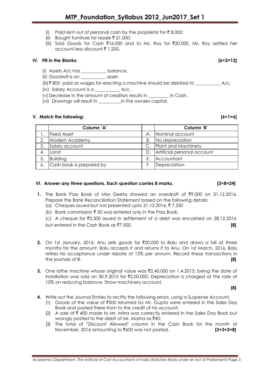- (i) Paid rent out of personal cash by the proprietor for  $\bar{\tau}$  8,000;
- (ii) Bought furniture for resale  $\bar{\tau}$  21,000;
- (iii) Sold Goods for Cash ₹16,000 and to Ms. Roy for ₹20,000, Ms. Roy settled her account less discount  $\bar{\tau}$  1,200.

# **IV. Fill in the Blanks: [6×2=12]**

- (i) Assets A/c has \_\_\_\_\_\_\_\_\_\_\_ balance.
- (ii) Goodwill is an \_\_\_\_\_\_\_\_\_\_\_ asset.
- $(iii)$   $\bar{x}$  800 paid as wages for erecting a machine should be debited to  $A/c$ .
- (iv) Salary Account is a \_\_\_\_\_\_\_\_\_\_\_ A/c.
- (v) Decrease in the amount of creditors results in \_\_\_\_\_\_\_\_\_ in Cash.
- (vi) Drawings will result in \_\_\_\_\_\_\_\_\_\_in the owners capital.

# **V. Match the following: [6×1=6]**

|    | Column 'A'               |    | Column 'B'                  |
|----|--------------------------|----|-----------------------------|
|    | <b>Fixed Asset</b>       | А. | Nominal account             |
| 2. | Modern Academy           | Β. | No depreciation             |
|    | Salary account           |    | Plant and Machinery         |
| 4. | Land                     | D. | Artificial personal account |
| 5. | <b>Building</b>          | Е. | Accountant                  |
| 6. | Cash book is prepared by | F. | Depreciation                |

# **VI. Answer any three questions. Each question carries 8 marks. [3×8=24]**

- **1.** The Bank Pass Book of Miss Geeta showed an overdraft of `9,000 on 31.12.2016. Prepare the Bank Reconciliation Statement based on the following details:
	- (a) Cheques issued but not presented upto 31.12.2016,  $\overline{\epsilon}$  7,250
	- (b) Bank commission  $\bar{\tau}$  50 was entered only in the Pass Book.
	- (c) A cheque for  $\overline{5,500}$  issued in settlement of a debt was encashed on 28.12.2016 but entered in the Cash Book as ₹7,500. **[8] [8]**
- **2.** On 1st January, 2016, Anu sells goods for ₹20,000 to Balu and draws a bill at three months for the amount. Balu accepts it and returns it to Anu. On 1st March, 2016, Balu retires his acceptance under rebate of 12% per annum. Record these transactions in the journals of B. **[8]**
- **3.** One lathe machine whose original value was  $\bar{\tau}$ 2,40,000 on 1.4.2013, being the date of installation was sold on 30.9.2015 for  $\bar{\mathfrak{Z}}$ ,00,000. Depreciation is charged at the rate of 10% on reducing balance. Show machinery account.

**[8]**

- **4.** Write out the Journal Entries to rectify the following errors, using a Suspense Account.
	- (1) Goods of the value of  $\overline{500}$  returned by Mr. Gupta were entered in the Sales Day Book and posted there from to the credit of his account;
	- (2) A sale of  $\bar{\tau}$  400 made to Mr. Mitra was correctly entered in the Sales Day Book but wrongly posted to the debit of Mr. Maitra as  $\text{\texttt{F40}}$ ;
	- (3) The total of "Discount Allowed" column in the Cash Book for the month of November, 2016 amounting to `600 was not posted. **[3+3+2=8]**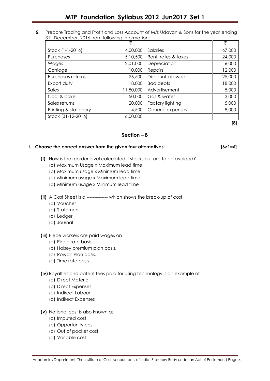**5.** Prepare Trading and Profit and Loss Account of M/s Udayan & Sons for the year ending 31st December, 2016 from following information:

|                       | ₹         |                     | ₹      |
|-----------------------|-----------|---------------------|--------|
| Stock (1-1-2016)      | 4,00,000  | Salaries            | 67,000 |
| Purchases             | 5,10,500  | Rent, rates & taxes | 24,000 |
| Wages                 | 2,01,000  | Depreciation        | 6,000  |
| Carriage              | 10,000    | Repairs             | 12,000 |
| Purchases returns     | 26,500    | Discount allowed    | 25,000 |
| Export duty           | 18,000    | <b>Bad debts</b>    | 18,000 |
| Sales                 | 11,50,000 | Advertisement       | 5,000  |
| Coal & coke           | 50,000    | Gas & water         | 3,000  |
| Sales returns         | 20,000    | Factory lighting    | 5,000  |
| Printing & stationery | 4,500     | General expenses    | 8,000  |
| Stock (31-12-2016)    | 6,00,000  |                     |        |

**[8]**

# **Section – B**

# **I. Choose the correct answer from the given four alternatives: [6×1=6]**

- **(i)** How is the reorder level calculated if stocks out are to be avoided?
	- (a) Maximum Usage x Maximum lead time
	- (b) Maximum usage x Minimum lead time
	- (c) Minimum usage x Maximum lead time
	- (d) Minimum usage x Minimum lead time
	- **(ii)** A Cost Sheet is a -------------- which shows the break-up of cost.
		- (a) Voucher
		- (b) Statement
		- (c) Ledger
		- (d) Journal

# **(iii)** Piece workers are paid wages on

- (a) Piece rate basis.
- (b) Halsey premium plan basis.
- (c) Rowan Plan basis.
- (d) Time rate basis

# **(iv)** Royalties and patent fees paid for using technology is an example of

- (a) Direct Material
- (b) Direct Expenses
- (c) Indirect Labour
- (d) Indirect Expenses
- **(v)** Notional cost is also known as
	- (a) Imputed cost
	- (b) Opportunity cost
	- (c) Out of pocket cost
	- (d) Variable cost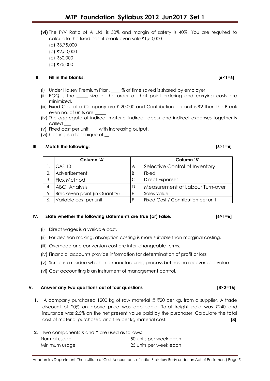- **(vi)** The P/V Ratio of A Ltd. is 50% and margin of safety is 40%. You are required to calculate the fixed cost if break even sale  $\bar{\tau}1,50,000$ .
	- $(a)$ ₹3,75,000
	- $(b)$  ₹2,50,000
	- $(c)$  ₹60,000
	- $(d)$  ₹75,000

# **II. Fill in the blanks: [6×1=6]**

- (i) Under Halsey Premium Plan, \_\_\_\_ % of time saved is shared by employer
- (ii) EOQ is the \_\_\_\_\_ size of the order at that point ordering and carrying costs are minimized.
- (iii) Fixed Cost of a Company are  $\bar{\tau}$  20,000 and Contribution per unit is  $\bar{\tau}$ 2 then the Break even no. of units are
- (iv) The aggregate of indirect material indirect labour and indirect expenses together is called
- (v) Fixed cost per unit \_\_\_\_with increasing output.
- (vi) Costing is a technique of \_\_

# **III. Match the following: [6×1=6]**

|    | Column 'A'                    |   | Column 'B'                         |
|----|-------------------------------|---|------------------------------------|
|    | $CAS$ 10                      | A | Selective Control of Inventory     |
| 2. | Advertisement                 | В | Fixed                              |
| 3. | <b>Flex Method</b>            |   | <b>Direct Expenses</b>             |
| 4. | ABC Analysis                  | D | Measurement of Labour Turn-over    |
| 5. | Breakeven point (in Quantity) | F | Sales value                        |
| 6. | Variable cost per unit        |   | Fixed Cost / Contribution per unit |

# **IV.** State whether the following statements are True (or) False. [6×1=6]

- (i) Direct wages is a variable cost.
- (ii) For decision making, absorption costing is more suitable than marginal costing.
- (iii) Overhead and conversion cost are inter-changeable terms.
- (iv) Financial accounts provide information for determination of profit or loss
- (v) Scrap is a residue which in a manufacturing process but has no recoverable value.
- (vi) Cost accounting is an instrument of management control.

### **V. Answer any two questions out of four questions [8×2=16]**

- **1.** A company purchased 1200 kg of raw material @ ₹20 per kg. from a supplier. A trade discount of 20% on above price was applicable. Total freight paid was `240 and insurance was 2.5% on the net present value paid by the purchaser. Calculate the total cost of material purchased and the per kg material cost. **[8]**
- **2.** Two components X and Y are used as follows: Normal usage 50 units per week each Minimum usage 25 units per week each